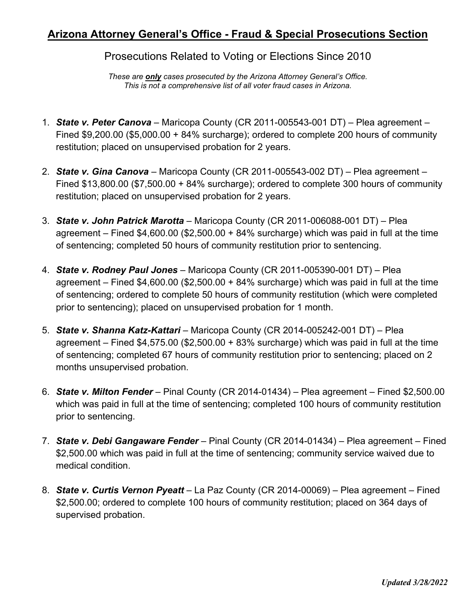## **Arizona Attorney General's Office - Fraud & Special Prosecutions Section**

Prosecutions Related to Voting or Elections Since 2010

*These are only cases prosecuted by the Arizona Attorney General's Office. This is not a comprehensive list of all voter fraud cases in Arizona.* 

- 1. *State v. Peter Canova* Maricopa County (CR 2011-005543-001 DT) Plea agreement Fined \$9,200.00 (\$5,000.00 + 84% surcharge); ordered to complete 200 hours of community restitution; placed on unsupervised probation for 2 years.
- 2. *State v. Gina Canova* Maricopa County (CR 2011-005543-002 DT) Plea agreement Fined \$13,800.00 (\$7,500.00 + 84% surcharge); ordered to complete 300 hours of community restitution; placed on unsupervised probation for 2 years.
- 3. *State v. John Patrick Marotta* Maricopa County (CR 2011-006088-001 DT) Plea agreement – Fined  $$4,600.00$  ( $$2,500.00 + 84\%$  surcharge) which was paid in full at the time of sentencing; completed 50 hours of community restitution prior to sentencing.
- 4. *State v. Rodney Paul Jones* Maricopa County (CR 2011-005390-001 DT) Plea agreement – Fined  $$4,600.00$  ( $$2,500.00 + 84\%$  surcharge) which was paid in full at the time of sentencing; ordered to complete 50 hours of community restitution (which were completed prior to sentencing); placed on unsupervised probation for 1 month.
- 5. *State v. Shanna Katz-Kattari* Maricopa County (CR 2014-005242-001 DT) Plea agreement – Fined  $$4,575.00$  ( $$2,500.00 + 83%$  surcharge) which was paid in full at the time of sentencing; completed 67 hours of community restitution prior to sentencing; placed on 2 months unsupervised probation.
- 6. *State v. Milton Fender* Pinal County (CR 2014-01434) Plea agreement Fined \$2,500.00 which was paid in full at the time of sentencing; completed 100 hours of community restitution prior to sentencing.
- 7. *State v. Debi Gangaware Fender* Pinal County (CR 2014-01434) Plea agreement Fined \$2,500.00 which was paid in full at the time of sentencing; community service waived due to medical condition.
- 8. *State v. Curtis Vernon Pyeatt* La Paz County (CR 2014-00069) Plea agreement Fined \$2,500.00; ordered to complete 100 hours of community restitution; placed on 364 days of supervised probation.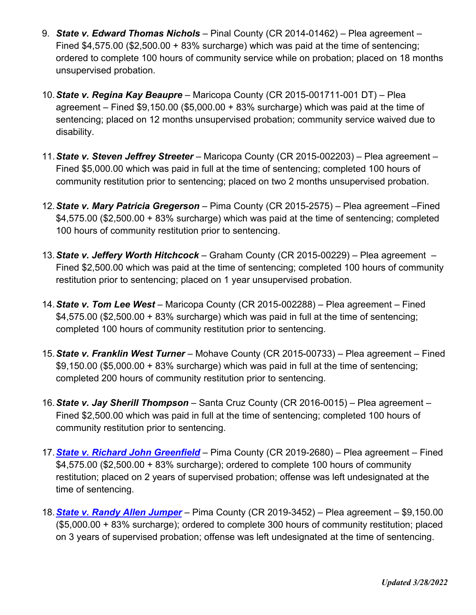- 9. *State v. Edward Thomas Nichols* Pinal County (CR 2014-01462) Plea agreement Fined \$4,575.00 (\$2,500.00 + 83% surcharge) which was paid at the time of sentencing; ordered to complete 100 hours of community service while on probation; placed on 18 months unsupervised probation.
- 10.*State v. Regina Kay Beaupre* Maricopa County (CR 2015-001711-001 DT) Plea agreement – Fined  $$9,150.00$  ( $$5,000.00 + 83\%$  surcharge) which was paid at the time of sentencing; placed on 12 months unsupervised probation; community service waived due to disability.
- 11.*State v. Steven Jeffrey Streeter* Maricopa County (CR 2015-002203) Plea agreement Fined \$5,000.00 which was paid in full at the time of sentencing; completed 100 hours of community restitution prior to sentencing; placed on two 2 months unsupervised probation.
- 12.*State v. Mary Patricia Gregerson* Pima County (CR 2015-2575) Plea agreement –Fined \$4,575.00 (\$2,500.00 + 83% surcharge) which was paid at the time of sentencing; completed 100 hours of community restitution prior to sentencing.
- 13.*State v. Jeffery Worth Hitchcock* Graham County (CR 2015-00229) Plea agreement Fined \$2,500.00 which was paid at the time of sentencing; completed 100 hours of community restitution prior to sentencing; placed on 1 year unsupervised probation.
- 14.*State v. Tom Lee West* Maricopa County (CR 2015-002288) Plea agreement Fined  $$4,575.00$  (\$2,500.00 + 83% surcharge) which was paid in full at the time of sentencing; completed 100 hours of community restitution prior to sentencing.
- 15.*State v. Franklin West Turner* Mohave County (CR 2015-00733) Plea agreement Fined  $$9,150.00$  (\$5,000.00 + 83% surcharge) which was paid in full at the time of sentencing; completed 200 hours of community restitution prior to sentencing.
- 16.*State v. Jay Sherill Thompson* Santa Cruz County (CR 2016-0015) Plea agreement Fined \$2,500.00 which was paid in full at the time of sentencing; completed 100 hours of community restitution prior to sentencing.
- 17.*[State v. Richard John Greenfield](https://www.azag.gov/press-release/arizona-man-sentenced-two-years-probation-voter-fraud)* Pima County (CR 2019-2680) Plea agreement Fined \$4,575.00 (\$2,500.00 + 83% surcharge); ordered to complete 100 hours of community restitution; placed on 2 years of supervised probation; offense was left undesignated at the time of sentencing.
- 18.*[State v. Randy Allen Jumper](https://www.azag.gov/press-release/former-tucson-man-sentenced-double-voting-2016-election)* Pima County (CR 2019-3452) Plea agreement \$9,150.00 (\$5,000.00 + 83% surcharge); ordered to complete 300 hours of community restitution; placed on 3 years of supervised probation; offense was left undesignated at the time of sentencing.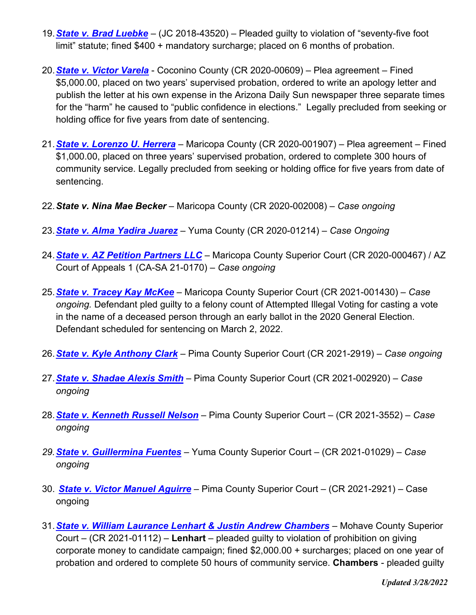- 19.*[State v. Brad Luebke](https://www.azag.gov/press-release/goodyear-man-receives-probation-and-fine-disrupting-polling-place-2018)* (JC 2018-43520) Pleaded guilty to violation of "seventy-five foot limit" statute; fined \$400 + mandatory surcharge; placed on 6 months of probation.
- 20.*[State v. Victor Varela](https://www.azag.gov/press-release/former-flagstaff-mayoral-candidate-indicted-submitting-forged-signatures)* Coconino County (CR 2020-00609) Plea agreement Fined \$5,000.00, placed on two years' supervised probation, ordered to write an apology letter and publish the letter at his own expense in the Arizona Daily Sun newspaper three separate times for the "harm" he caused to "public confidence in elections." Legally precluded from seeking or holding office for five years from date of sentencing.
- 21.*[State v. Lorenzo U. Herrera](https://www.azag.gov/press-release/former-state-senate-candidate-indicted-forging-signatures-qualify-citizens-clean)* Maricopa County (CR 2020-001907) Plea agreement Fined \$1,000.00, placed on three years' supervised probation, ordered to complete 300 hours of community service. Legally precluded from seeking or holding office for five years from date of sentencing.
- 22.*State v. Nina Mae Becker* Maricopa County (CR 2020-002008) *Case ongoing*
- 23.*[State v. Alma Yadira Juarez](https://www.azag.gov/press-release/two-individuals-accused-ballot-harvesting-yuma-county)* Yuma County (CR 2020-01214) *Case Ongoing*
- 24.*[State v. AZ Petition Partners LLC](https://www.azag.gov/press-release/phoenix-petition-signature-gathering-company-faces-criminal-charges-alleged-illegal)* Maricopa County Superior Court (CR 2020-000467) / AZ Court of Appeals 1 (CA-SA 21-0170) – *Case ongoing*
- 25.*[State v. Tracey Kay McKee](https://www.azag.gov/press-release/scottsdale-woman-pleads-guilty-casting-illegal-vote-name-her-deceased-mother)* Maricopa County Superior Court (CR 2021-001430) *Case ongoing.* Defendant pled guilty to a felony count of Attempted Illegal Voting for casting a vote in the name of a deceased person through an early ballot in the 2020 General Election. Defendant scheduled for sentencing on March 2, 2022.
- 26.*[State v. Kyle Anthony Clark](https://www.azag.gov/press-release/attorney-general-brnovich-announces-charges-against-tucson-man-allegedly-illegally)* Pima County Superior Court (CR 2021-2919) *Case ongoing*
- 27.*[State v. Shadae Alexis Smith](https://www.azag.gov/press-release/two-more-inmates-indicted-false-registration-and-illegal-voting-while-serving-inmates)* Pima County Superior Court (CR 2021-002920) *Case ongoing*
- 28.*[State v. Kenneth Russell Nelson](https://www.azag.gov/press-release/tucson-man-indicted-allegedly-illegally-voting-2020-election)* Pima County Superior Court (CR 2021-3552) *Case ongoing*
- *29.[State v. Guillermina Fuentes](https://www.azag.gov/press-release/san-luis-woman-facing-additional-ballot-abuse-charges)* Yuma County Superior Court (CR 2021-01029) *Case ongoing*
- 30. *[State v. Victor Manuel Aguirre](https://www.azag.gov/press-release/sahuarita-man-indicted-allegedly-illegally-voting)* Pima County Superior Court (CR 2021-2921) Case ongoing
- 31.*[State v. William Laurance Lenhart & Justin Andrew Chambers](https://mcusercontent.com/cc1fad182b6d6f8b1e352e206/files/a62218e0-a94a-b3b6-a19f-8524d374ef23/PHX_9824157_v1_P0022018001614___Lenhart__William_et__al____Signed_Indictment.pdf)* Mohave County Superior Court – (CR 2021-01112) – **Lenhart** – pleaded guilty to violation of prohibition on giving corporate money to candidate campaign; fined \$2,000.00 + surcharges; placed on one year of probation and ordered to complete 50 hours of community service. **Chambers** - pleaded guilty